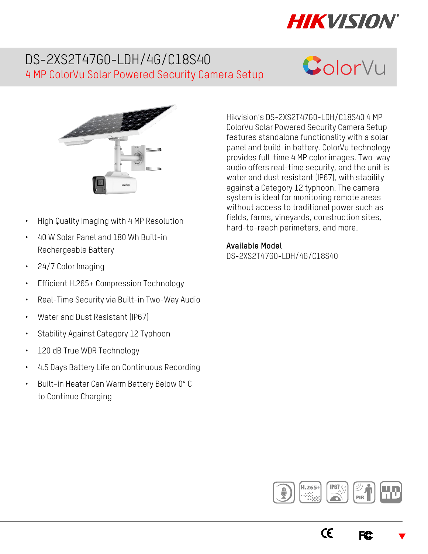

## DS-2XS2T47G0-LDH/4G/C18S40 4 MP ColorVu Solar Powered Security Camera Setup





- High Quality Imaging with 4 MP Resolution
- 40 W Solar Panel and 180 Wh Built-in Rechargeable Battery
- 24/7 Color Imaging
- Efficient H.265+ Compression Technology
- Real-Time Security via Built-in Two-Way Audio
- Water and Dust Resistant (IP67)
- Stability Against Category 12 Typhoon
- 120 dB True WDR Technology
- 4.5 Days Battery Life on Continuous Recording
- Built-in Heater Can Warm Battery Below 0° C to Continue Charging

Hikvision's DS-2XS2T47G0-LDH/C18S40 4 MP ColorVu Solar Powered Security Camera Setup features standalone functionality with a solar panel and build-in battery. ColorVu technology provides full-time 4 MP color images. Two-way audio offers real-time security, and the unit is water and dust resistant (IP67), with stability against a Category 12 typhoon. The camera system is ideal for monitoring remote areas without access to traditional power such as fields, farms, vineyards, construction sites, hard-to-reach perimeters, and more.

**Available Model** 

DS-2XS2T47G0-LDH/4G/C18S40



**FC** 

 $\epsilon$ 

 $\blacktriangledown$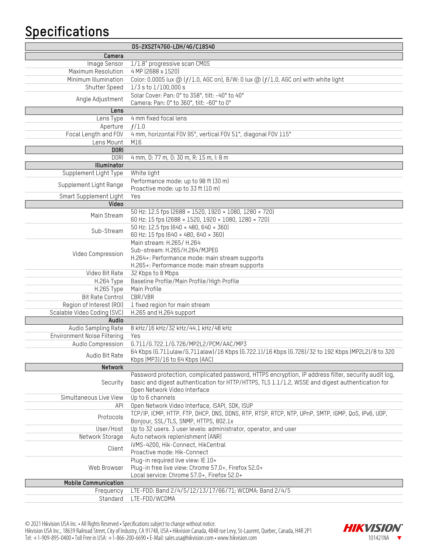## **Specifications**

|                             | DS-2XS2T47G0-LDH/4G/C18S40                                                                                |
|-----------------------------|-----------------------------------------------------------------------------------------------------------|
| Camera                      |                                                                                                           |
| Image Sensor                | 1/1.8" progressive scan CM0S                                                                              |
| Maximum Resolution          | 4 MP (2688 x 1520)                                                                                        |
| Minimum Illumination        | Color: 0.0005 lux @ (f/1.0, AGC on), B/W: 0 lux @ (f/1.0, AGC on) with white light                        |
| Shutter Speed               | $1/3$ s to $1/100,000$ s                                                                                  |
|                             | Solar Cover: Pan: 0° to 358°, tilt: -40° to 40°                                                           |
| Angle Adjustment            | Camera: Pan: 0° to 360°, tilt: -60° to 0°                                                                 |
| Lens                        |                                                                                                           |
| Lens Type                   | 4 mm fixed focal lens                                                                                     |
| Aperture                    | f/1.0                                                                                                     |
| Focal Length and FOV        | 4 mm, horizontal FOV 95°, vertical FOV 51°, diagonal FOV 115°                                             |
| Lens Mount                  | M16                                                                                                       |
| <b>DORI</b>                 |                                                                                                           |
| <b>DORI</b>                 | 4 mm, D: 77 m, 0: 30 m, R: 15 m, l: 8 m                                                                   |
| Illuminator                 |                                                                                                           |
| Supplement Light Type       | White light                                                                                               |
| Supplement Light Range      | Performance mode: up to 98 ft (30 m)                                                                      |
|                             | Proactive mode: up to 33 ft (10 m)                                                                        |
| Smart Supplement Light      | Yes                                                                                                       |
| Video                       |                                                                                                           |
| Main Stream                 | 50 Hz: 12.5 fps (2688 × 1520, 1920 × 1080, 1280 × 720)                                                    |
|                             | 60 Hz: 15 fps (2688 × 1520, 1920 × 1080, 1280 × 720)                                                      |
| Sub-Stream                  | 50 Hz: 12.5 fps (640 × 480, 640 × 360)                                                                    |
|                             | 60 Hz: 15 fps (640 × 480, 640 × 360)                                                                      |
|                             | Main stream: H.265/ H.264<br>Sub-stream: H.265/H.264/MJPEG                                                |
| Video Compression           | H.264+: Performance mode: main stream supports                                                            |
|                             | H.265+: Performance mode: main stream supports                                                            |
| Video Bit Rate              | 32 Kbps to 8 Mbps                                                                                         |
| H.264 Type                  | Baseline Profile/Main Profile/High Profile                                                                |
| H.265 Type                  | Main Profile                                                                                              |
| Bit Rate Control            | CBR/VBR                                                                                                   |
| Region of Interest (ROI)    | 1 fixed region for main stream                                                                            |
| Scalable Video Coding (SVC) | H.265 and H.264 support                                                                                   |
| Audio                       |                                                                                                           |
| Audio Sampling Rate         | 8 kHz/16 kHz/32 kHz/44.1 kHz/48 kHz                                                                       |
| Environment Noise Filtering | Yes                                                                                                       |
| Audio Compression           | G.711/G.722.1/G.726/MP2L2/PCM/AAC/MP3                                                                     |
| Audio Bit Rate              | 64 Kbps (6.711ulaw/6.711alaw)/16 Kbps (6.722.1)/16 Kbps (6.726)/32 to 192 Kbps (MP2L2)/8 to 320           |
|                             | Kbps (MP3)/16 to 64 Kbps (AAC)                                                                            |
| Network                     |                                                                                                           |
|                             | Password protection, complicated password, HTTPS encryption, IP address filter, security audit log,       |
| Security                    | basic and digest authentication for HTTP/HTTPS, TLS 1.1/1.2, WSSE and digest authentication for           |
|                             | Open Network Video Interface                                                                              |
| Simultaneous Live View      | Up to 6 channels                                                                                          |
| API                         | Open Network Video Interface, ISAPI, SDK, ISUP                                                            |
| Protocols                   | TCP/IP, ICMP, HTTP, FTP, DHCP, DNS, DDNS, RTP, RTSP, RTCP, NTP, UPnP, SMTP, IGMP, QoS, IPv6, UDP,         |
| User/Host                   | Bonjour, SSL/TLS, SNMP, HTTPS, 802.1x<br>Up to 32 users. 3 user levels: administrator, operator, and user |
| Network Storage             | Auto network replenishment (ANR)                                                                          |
|                             | iVMS-4200, Hik-Connect, HikCentral                                                                        |
| Client                      | Proactive mode: Hik-Connect                                                                               |
|                             | Plug-in required live view: IE 10+                                                                        |
| Web Browser                 | Plug-in free live view: Chrome 57.0+, Firefox 52.0+                                                       |
|                             | Local service: Chrome 57.0+, Firefox 52.0+                                                                |
| <b>Mobile Communication</b> |                                                                                                           |
| Frequency                   | LTE-FDD: Band 2/4/5/12/13/17/66/71; WCDMA: Band 2/4/5                                                     |
| Standard                    | LTE-FDD/WCDMA                                                                                             |
|                             |                                                                                                           |

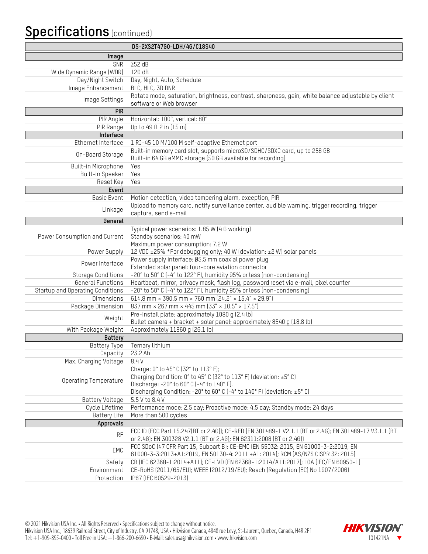## **Specifications** (continued)

|                                  | DS-2XS2T47G0-LDH/4G/C18S40                                                                                                                                  |
|----------------------------------|-------------------------------------------------------------------------------------------------------------------------------------------------------------|
| Image                            |                                                                                                                                                             |
| SNR                              | $252$ dB                                                                                                                                                    |
| Wide Dynamic Range (WDR)         | 120 dB                                                                                                                                                      |
| Day/Night Switch                 | Day, Night, Auto, Schedule                                                                                                                                  |
| Image Enhancement                | BLC, HLC, 3D DNR                                                                                                                                            |
| Image Settings                   | Rotate mode, saturation, brightness, contrast, sharpness, gain, white balance adjustable by client                                                          |
|                                  | software or Web browser                                                                                                                                     |
| <b>PIR</b>                       |                                                                                                                                                             |
| PIR Angle                        | Horizontal: 100°, vertical: 80°                                                                                                                             |
| PIR Range                        | Up to 49 ft 2 in (15 m)                                                                                                                                     |
| Interface                        |                                                                                                                                                             |
| Ethernet Interface               | 1 RJ-45 10 M/100 M self-adaptive Ethernet port                                                                                                              |
| On-Board Storage                 | Built-in memory card slot, supports microSD/SDHC/SDXC card, up to 256 GB                                                                                    |
| Built-in Microphone              | Built-in 64 GB eMMC storage (50 GB available for recording)<br>Yes                                                                                          |
| Built-in Speaker                 | Yes                                                                                                                                                         |
| Reset Key                        | Yes                                                                                                                                                         |
| Event                            |                                                                                                                                                             |
| <b>Basic Event</b>               | Motion detection, video tampering alarm, exception, PIR                                                                                                     |
|                                  | Upload to memory card, notify surveillance center, audible warning, trigger recording, trigger                                                              |
| Linkage                          | capture, send e-mail                                                                                                                                        |
| General                          |                                                                                                                                                             |
|                                  | Typical power scenarios: 1.85 W (4 G working)                                                                                                               |
| Power Consumption and Current    | Standby scenarios: 40 mW                                                                                                                                    |
|                                  | Maximum power consumption: 7.2 W                                                                                                                            |
| Power Supply                     | 12 VDC ±25% *For debugging only; 40 W (deviation: ±2 W) solar panels                                                                                        |
| Power Interface                  | Power supply interface: Ø5.5 mm coaxial power plug                                                                                                          |
|                                  | Extended solar panel: four-core aviation connector                                                                                                          |
| <b>Storage Conditions</b>        | -20° to 50° C (-4° to 122° F), humidity 95% or less (non-condensing)                                                                                        |
| <b>General Functions</b>         | Heartbeat, mirror, privacy mask, flash log, password reset via e-mail, pixel counter                                                                        |
| Startup and Operating Conditions | -20° to 50° C (-4° to 122° F), humidity 95% or less (non-condensing)<br>614.8 mm × 390.5 mm × 760 mm (24.2" × 15.4" × 29.9")                                |
| <b>Dimensions</b>                | 837 mm × 267 mm × 445 mm (33" × 10.5" × 17.5")                                                                                                              |
| Package Dimension                | Pre-install plate: approximately 1080 g (2.4 lb)                                                                                                            |
| Weight                           | Bullet camera + bracket + solar panel: approximately 8540 g (18.8 lb)                                                                                       |
| With Package Weight              | Approximately 11860 g (26.1 lb)                                                                                                                             |
| Battery                          |                                                                                                                                                             |
| Battery Type                     | Ternary lithium                                                                                                                                             |
| Capacity                         | 23.2 Ah                                                                                                                                                     |
| Max. Charging Voltage            | 8.4 V                                                                                                                                                       |
|                                  | Charge: 0° to 45° C (32° to 113° F);                                                                                                                        |
| <b>Operating Temperature</b>     | Charging Condition: 0° to 45° C (32° to 113° F) (deviation: ±5° C)                                                                                          |
|                                  | Discharge: -20° to 60° C (-4° to 140° F).                                                                                                                   |
|                                  | Discharging Condition: -20° to 60° C (-4° to 140° F) (deviation: ±5° C)                                                                                     |
| Battery Voltage                  | 5.5 V to 8.4 V                                                                                                                                              |
| Cycle Lifetime                   | Performance mode: 2.5 day; Proactive mode: 4.5 day; Standby mode: 24 days                                                                                   |
| <b>Battery Life</b>              | More than 500 cycles                                                                                                                                        |
| Approvals                        |                                                                                                                                                             |
| <b>RF</b>                        | FCC ID (FCC Part 15.247(BT or 2.4G)); CE-RED (EN 301489-1 V2.1.1 (BT or 2.4G); EN 301489-17 V3.1.1 (BT                                                      |
|                                  | or 2.4G); EN 300328 V2.1.1 (BT or 2.4G); EN 62311:2008 (BT or 2.4G))<br>FCC SDoC (47 CFR Part 15, Subpart B); CE-EMC (EN 55032: 2015, EN 61000-3-2:2019, EN |
| EMC                              | 61000-3-3:2013+A1:2019, EN 50130-4: 2011 +A1: 2014); RCM (AS/NZS CISPR 32: 2015)                                                                            |
| Safety                           | CB (IEC 62368-1:2014+A11); CE-LVD (EN 62368-1:2014/A11:2017); LOA (IEC/EN 60950-1)                                                                          |
| Environment                      | CE-RoHS (2011/65/EU); WEEE (2012/19/EU); Reach (Regulation (EC) No 1907/2006)                                                                               |
| Protection                       | IP67 (IEC 60529-2013)                                                                                                                                       |
|                                  |                                                                                                                                                             |